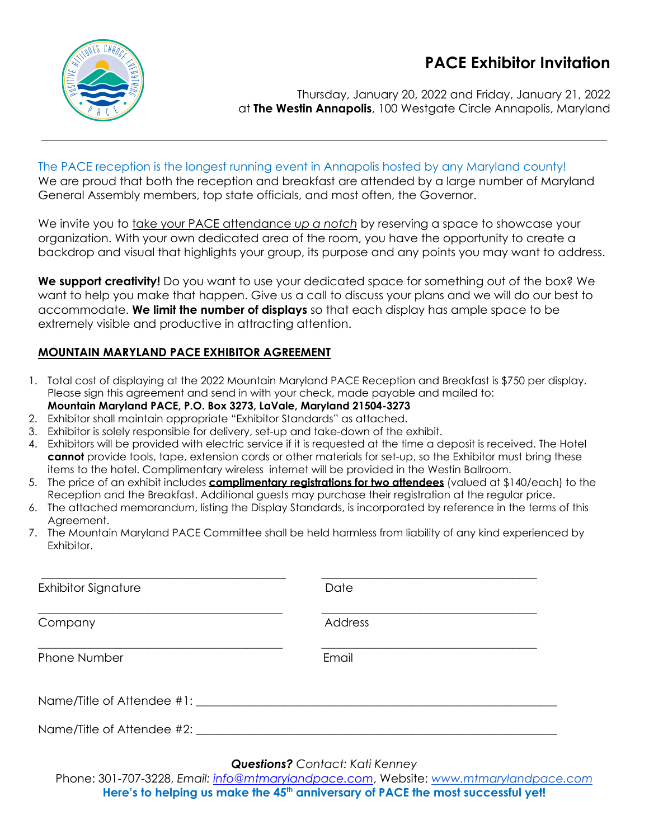# **PACE Exhibitor Invitation**



Thursday, January 20, 2022 and Friday, January 21, 2022 at **The Westin Annapolis**, 100 Westgate Circle Annapolis, Maryland

# The PACE reception is the longest running event in Annapolis hosted by any Maryland county! We are proud that both the reception and breakfast are attended by a large number of Maryland General Assembly members, top state officials, and most often, the Governor.

We invite you to take your PACE attendance up a notch by reserving a space to showcase your organization. With your own dedicated area of the room, you have the opportunity to create a backdrop and visual that highlights your group, its purpose and any points you may want to address.

**We support creativity!** Do you want to use your dedicated space for something out of the box? We want to help you make that happen. Give us a call to discuss your plans and we will do our best to accommodate. **We limit the number of displays** so that each display has ample space to be extremely visible and productive in attracting attention.

# **MOUNTAIN MARYLAND PACE EXHIBITOR AGREEMENT**

- 1. Total cost of displaying at the 2022 Mountain Maryland PACE Reception and Breakfast is \$750 per display. Please sign this agreement and send in with your check, made payable and mailed to: **Mountain Maryland PACE, P.O. Box 3273, LaVale, Maryland 21504-3273**
- 2. Exhibitor shall maintain appropriate "Exhibitor Standards" as attached.
- 3. Exhibitor is solely responsible for delivery, set-up and take-down of the exhibit.
- 4. Exhibitors will be provided with electric service if it is requested at the time a deposit is received. The Hotel **cannot** provide tools, tape, extension cords or other materials for set-up, so the Exhibitor must bring these items to the hotel. Complimentary wireless internet will be provided in the Westin Ballroom.
- 5. The price of an exhibit includes **complimentary registrations for two attendees** (valued at \$140/each) to the Reception and the Breakfast. Additional guests may purchase their registration at the regular price.
- 6. The attached memorandum, listing the Display Standards, is incorporated by reference in the terms of this Agreement.
- 7. The Mountain Maryland PACE Committee shall be held harmless from liability of any kind experienced by Exhibitor.

| <b>Exhibitor Signature</b> | Date    |  |
|----------------------------|---------|--|
| Company                    | Address |  |
| Phone Number               | Email   |  |
| Name/Title of Attendee #1: |         |  |
| Name/Title of Attendee #2: |         |  |

# *Questions? Contact: Kati Kenney*

Phone: 301-707-3228, *Email: [info@mtmarylandpace.com](mailto:info@mtmarylandpace.com)*, Website: *[www.mtmarylandpace.com](http://www.mtmarylandpace.com)* Here's to helping us make the 45<sup>th</sup> anniversary of PACE the most successful yet!